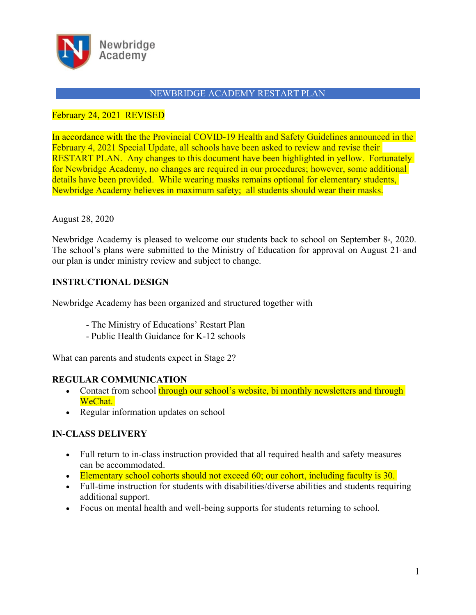

## February 24, 2021 REVISED

In accordance with the the Provincial COVID-19 Health and Safety Guidelines announced in the February 4, 2021 Special Update, all schools have been asked to review and revise their RESTART PLAN. Any changes to this document have been highlighted in yellow. Fortunately for Newbridge Academy, no changes are required in our procedures; however, some additional details have been provided. While wearing masks remains optional for elementary students, Newbridge Academy believes in maximum safety; all students should wear their masks.

### August 28, 2020

Newbridge Academy is pleased to welcome our students back to school on September  $8<sub>th</sub>$ , 2020. The school's plans were submitted to the Ministry of Education for approval on August  $21$  and our plan is under ministry review and subject to change.

## **INSTRUCTIONAL DESIGN**

Newbridge Academy has been organized and structured together with

- The Ministry of Educations' Restart Plan
- Public Health Guidance for K-12 schools

What can parents and students expect in Stage 2?

## **REGULAR COMMUNICATION**

- Contact from school through our school's website, bi monthly newsletters and through WeChat.
- Regular information updates on school

## **IN-CLASS DELIVERY**

- Full return to in-class instruction provided that all required health and safety measures can be accommodated.
- Elementary school cohorts should not exceed 60; our cohort, including faculty is 30.
- Full-time instruction for students with disabilities/diverse abilities and students requiring additional support.
- Focus on mental health and well-being supports for students returning to school.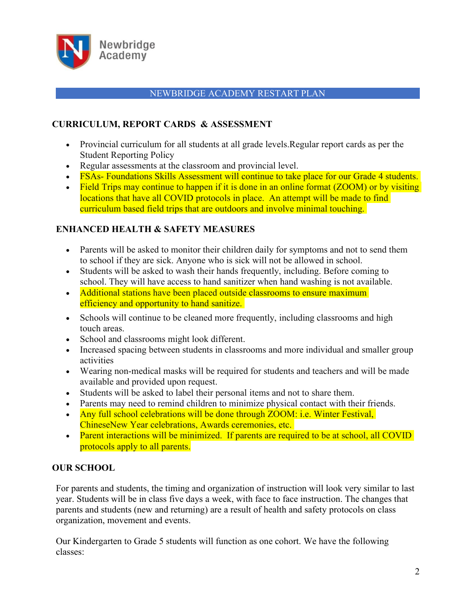

# **CURRICULUM, REPORT CARDS & ASSESSMENT**

- Provincial curriculum for all students at all grade levels.Regular report cards as per the Student Reporting Policy
- Regular assessments at the classroom and provincial level.
- FSAs- Foundations Skills Assessment will continue to take place for our Grade 4 students.
- Field Trips may continue to happen if it is done in an online format (ZOOM) or by visiting locations that have all COVID protocols in place. An attempt will be made to find curriculum based field trips that are outdoors and involve minimal touching.

## **ENHANCED HEALTH & SAFETY MEASURES**

- Parents will be asked to monitor their children daily for symptoms and not to send them to school if they are sick. Anyone who is sick will not be allowed in school.
- Students will be asked to wash their hands frequently, including. Before coming to school. They will have access to hand sanitizer when hand washing is not available.
- Additional stations have been placed outside classrooms to ensure maximum efficiency and opportunity to hand sanitize.
- Schools will continue to be cleaned more frequently, including classrooms and high touch areas.
- School and classrooms might look different.
- Increased spacing between students in classrooms and more individual and smaller group activities
- Wearing non-medical masks will be required for students and teachers and will be made available and provided upon request.
- Students will be asked to label their personal items and not to share them.
- Parents may need to remind children to minimize physical contact with their friends.
- Any full school celebrations will be done through ZOOM: i.e. Winter Festival, ChineseNew Year celebrations, Awards ceremonies, etc.
- Parent interactions will be minimized. If parents are required to be at school, all COVID protocols apply to all parents.

## **OUR SCHOOL**

For parents and students, the timing and organization of instruction will look very similar to last year. Students will be in class five days a week, with face to face instruction. The changes that parents and students (new and returning) are a result of health and safety protocols on class organization, movement and events.

Our Kindergarten to Grade 5 students will function as one cohort. We have the following classes: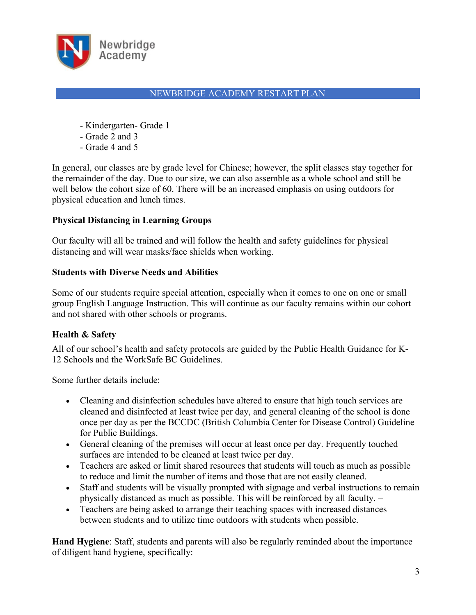

- Kindergarten- Grade 1
- Grade 2 and 3
- Grade 4 and 5

In general, our classes are by grade level for Chinese; however, the split classes stay together for the remainder of the day. Due to our size, we can also assemble as a whole school and still be well below the cohort size of 60. There will be an increased emphasis on using outdoors for physical education and lunch times.

# **Physical Distancing in Learning Groups**

Our faculty will all be trained and will follow the healthand safety guidelines for physical distancing and will wear masks/face shields when working.

## **Students with Diverse Needs and Abilities**

Some of our students require special attention, especially when it comes to one on one or small group English Language Instruction. This will continue as our faculty remains within our cohort and not shared with other schools or programs.

# **Health & Safety**

All of our school's health and safety protocols are guided by the Public Health Guidance for K- 12 Schools and the WorkSafe BC Guidelines.

Some further details include:

- Cleaning and disinfection schedules have altered to ensure that high touch services are cleaned and disinfected at least twice per day, and general cleaning of the school is done once per day as per the BCCDC (British Columbia Center for Disease Control) Guideline for Public Buildings.
- General cleaning of the premises will occur at least once per day. Frequently touched surfaces are intended to be cleaned at least twice per day.
- Teachers are asked or limit shared resources that students will touch as much as possible to reduce and limit the number of items and those that are not easily cleaned.
- Staff and students will be visually prompted with signage and verbal instructions to remain physically distanced as much as possible. This will be reinforced by all faculty. –
- Teachers are being asked to arrange their teaching spaces with increased distances between students and to utilize time outdoors with students when possible.

**Hand Hygiene**: Staff, students and parents will also be regularly reminded about the importance of diligent hand hygiene, specifically: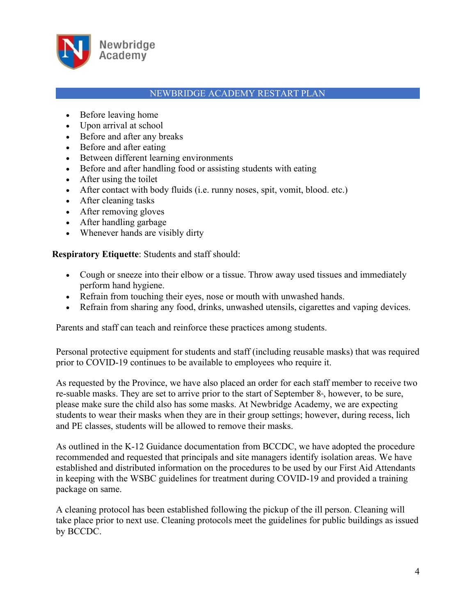

- Before leaving home
- Upon arrival at school
- Before and after any breaks
- Before and after eating
- Between different learning environments
- Before and after handling food or assisting students with eating
- After using the toilet
- After contact with body fluids (i.e. runny noses, spit, vomit, blood. etc.)
- After cleaning tasks
- After removing gloves
- After handling garbage
- Whenever hands are visibly dirty

**Respiratory Etiquette**: Students and staff should:

- Cough or sneeze into their elbow or a tissue. Throw away used tissues and immediately perform hand hygiene.
- Refrain from touching their eyes, nose or mouth with unwashed hands.
- Refrain from sharing any food, drinks, unwashed utensils, cigarettes and vaping devices.

Parents and staff can teach and reinforce these practices among students.

Personal protective equipment for students and staff (including reusable masks) that was required prior to COVID-19 continues to be available to employees who require it.

As requested by the Province, we have also placed an order for each staff member to receive two re-suable masks. They are set to arrive prior to the start of September  $8<sub>*</sub>$ , however, to be sure, please make sure the child also has some masks. At Newbridge Academy, we are expecting students to wear their masks when they are in their group settings; however, during recess, lich and PE classes, students will be allowed to remove their masks.

As outlined in the K-12 Guidance documentation from BCCDC, we have adopted the procedure recommended and requested that principals and site managers identify isolation areas. We have established and distributed information on the procedures to be used by our First Aid Attendants in keeping with the WSBC guidelines for treatment during COVID-19 and provided a training package on same.

A cleaning protocol has been established following the pickup of the ill person. Cleaning will take place prior to next use. Cleaning protocols meet the guidelines for public buildings as issued by BCCDC.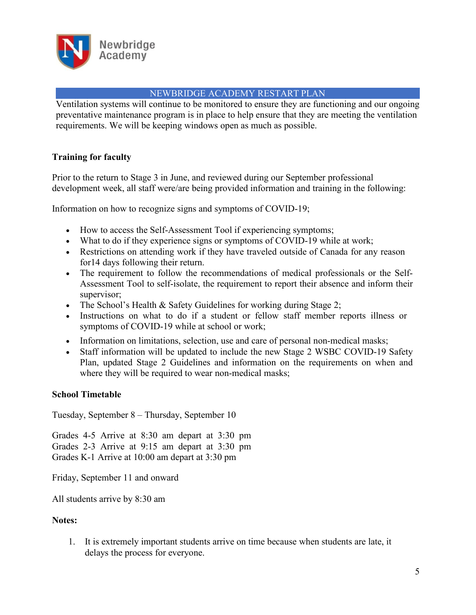

Ventilation systems will continue to be monitored to ensure they are functioning and our ongoing preventative maintenance program is in place to help ensure that they are meeting the ventilation requirements. We will be keeping windows open as much as possible.

# **Training for faculty**

Prior to the return to Stage 3 in June, and reviewed during our September professional development week, all staff were/are being provided information and training in the following:

Information on how to recognize signs and symptoms of COVID-19;

- How to access the Self-Assessment Tool if experiencing symptoms;
- What to do if they experience signs or symptoms of COVID-19 while at work;
- Restrictions on attending work if they have traveled outside of Canada for any reason for14 days following their return.
- The requirement to follow the recommendations of medical professionals or the Self- Assessment Tool to self-isolate, the requirement to report their absence and inform their supervisor;
- The School's Health & Safety Guidelines for working during Stage 2;
- Instructions on what to do if a student or fellow staff member reports illness or symptoms of COVID-19 while at school or work;
- Information on limitations, selection, use and care of personal non-medical masks;
- Staff information will be updated to include the new Stage 2 WSBC COVID-19 Safety Plan, updated Stage 2 Guidelines and information on the requirements on when and where they will be required to wear non-medical masks;

## **School Timetable**

Tuesday, September 8 – Thursday, September 10

Grades 4-5 Arrive at 8:30 am depart at 3:30 pm Grades 2-3 Arrive at 9:15 am depart at 3:30 pm Grades K-1 Arrive at 10:00 am depart at 3:30 pm

Friday, September 11 and onward

All students arrive by 8:30 am

#### **Notes:**

1. It is extremely important students arrive on time because when students are late, it delays the process for everyone.